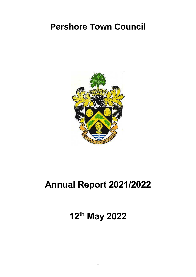# **Pershore Town Council**



# **Annual Report 2021/2022**

**12 th May 2022**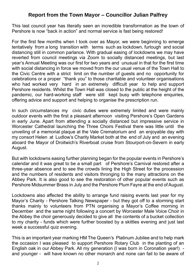# **Report from the Town Mayor – Councillor Julian Palfrey**

This last council year has literally seen an incredible transformation as the town of Pershore is now "back in action" and normal service is fast being restored!

For the first few months when I took over as Mayor, we were beginning to emerge tentatively from a long transition with terms such as lockdown, furlough and social distancing still in common parlance. With gradual easing of lockdowns we may have reverted from council meetings via Zoom to socially distanced meetings, but last year's Annual Meeting was our first for two years and unusual in that for the first time with social distancing in force we moved from the our usual venue of the Town Hall to the Civic Centre with a strict limit on the number of guests and no opportunity for celebrations or a proper "thank you" to those charitable and volunteer organisations who had worked very hard in an extremely difficult year to help and support Pershore residents. Whilst the Town Hall was closed to the public at the height of the pandemic, our hard-working staff were still kept busy with telephone enquiries, offering advice and support and helping to organise the prescription run.

In such circumstances my civic duties were extremely limited and were mainly outdoor events with the first a pleasant afternoon visiting Pershore's Open Gardens in early June. Apart from attending a socially distanced but impressive service in Worcester Cathedral launching the Three Choirs Festival there was little until the unveiling of a memorial plaque at the Vale Crematorium and an enjoyable day with my consort Helen at Ludlow's Charity Market both at the end of July and an evening aboard the Mayor of Droitwich's Riverboat cruise from Stourport-on-Severn in early August.

But with lockdowns easing further planning began for the popular events in Pershore's calendar and it was great to be a small part of Pershore's Carnival restored after a three-year absence and to see the crowds lining the High Street for the procession and the numbers of residents and visitors thronging to the many attractions on the Abbey Park. It is also good to see the restoration of other popular events such as Pershore Midsummer Brass in July and the Pershore Plum Fayre at the end of August.

Lockdowns also affected the ability to arrange fund raising events last year for my Mayor's Charity - Pershore Talking Newspaper - but they got off to a storming start thanks mainly to volunteers from PTN organising a Mayor's Coffee morning in December and the same night following a concert by Worcester Male Voice Choir in the Abbey the choir generously decided to give all the contents of a bucket collection to my charity - funds which were further boosted by a skittles evening and just last week a successful quiz evening.

This is an important year marking HM The Queen's Platinum Jubilee and to help mark the occasion I was pleased to support Pershore Rotary Club in the planting of an English oak in our Abbey Park. All my generation (I was born in Coronation year!) and younger - will have known no other monarch and none can fail to be aware of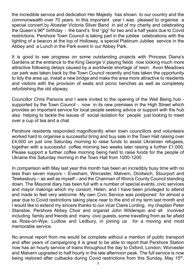the incredible service and dedication Her Majesty has shown to our country and the commonwealth over 70 years. In this important year I was pleased to organise a special concert by Alcester Victoria Silver Band in aid of my charity and celebrating the Queen's 96<sup>th</sup> birthday - the band's first "gig" for two and a half years due to Covid restrictions. Pershore Town Council is taking part in the jubilee celebrations with the lighting of a beacon at the top of Holloway, a special Platinum Jubilee service in the Abbey and a Lunch in the Park event in our Abbey Park.

It is good to see progress on some outstanding projects with Princess Diana's Gardens at the entrance to the King George V playing fields now looking much more attractive following delays caused by a worldwide shortage of resin. Avon Meadows car park was taken back by the Town Council recently and has taken the opportunity to tidy the area up, install a new bridge and make the area more attractive to residents and visitors with the provision of seats and picnic benches as well as completely refurbishing the old slipway.

Councillor Chris Parsons and I were invited to the opening of the Well Being hub supported by the Town Council - now in its new premises in the High Street which provides an important service for local people seeking advice or support with the hub also helping to tackle the issues of social isolation for people just looking to meet over a cup of tea and a chat.

Pershore residents responded magnificently when town councillors and volunteers worked hard to organise a successful bring and buy sale in the Town Hall raising over £4,000 on just one Saturday morning to raise funds to assist Ukrainian refugees, together with a successful coffee morning two weeks later raising a further £1,000. Please support a further coffee morning being held to raise funds for the people of Ukraine this Saturday morning in the Town Hall from 1000-1200.

In comparison with May last year this month has been an incredibly busy time with no less than seven mayors – Evesham, Worcester, Malvern, Droitwich, Stourport and Tewkesbury – as well as myself – and the Chairman of Worcs County Council standing down. The Mayoral diary has been full with a number of special events, civic services and mayor makings which my consort, Helen, and I have been privileged to attend and made to feel very welcome. My own Civic Service was postponed for almost a year due to Covid restrictions taking place near to the end of my term last month and I would like to extend my sincere thanks to our vicar Claire Lording, my chaplain Peter Stansbie, Pershore Abbey Choir and organist John Wilderspin and all involved including family and friends and many civic guests, some travelling from as far afield as Ross-on-Wye, Ludlow and Ledbury, in joining us for a moving and most memorable service.

No annual report from me would be complete without a mention of public transport and after years of campaigning it is great to be able to report that Pershore Station now has an hourly service of trains throughout the day to Oxford, London, Worcester and Malvern upgraded to half hourly in the late afternoon peak. The full service is now being restored after cutbacks during Covid restrictions from this Sunday, May 15<sup>th</sup>.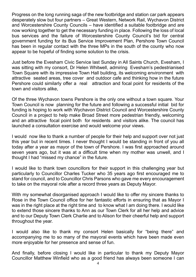Progress on the long running saga of the new footbridge and station car park appears desperately slow but four partners – Great Western, Network Rail, Wychavon District and Worcestershire County Councils – have identified a suitable footbridge and are now working together to get the necessary funding in place. Following the loss of local bus services and the failure of Worcestershire County Council's bid for central government funding for its Bus Service Improvement Plan, Pershore Town Council has been in regular contact with the three MPs in the south of the county who now appear to be hopeful of finding some solution to the crisis.

Just before the Evesham Civic Service last Sunday in All Saints Church, Evesham, I was sitting with my consort, Dr Helen Whitwell, admiring Evesham's pedestrianised Town Square with its impressive Town Hall building, its welcoming environment with attractive seated areas, tree cover and outdoor cafe and thinking how in the future Pershore could similarly offer a real attraction and focal point for residents of the town and visitors alike,

Of the three Wychavon towns Pershore is the only one without a town square. Your Town Council is now planning for the future and following a successful initial bid for funding is hoping to work with Wychavon District Council and Worcestershire County Council in a project to help make Broad Street more pedestrian friendly, welcoming and an attractive focal point both for residents and visitors alike. The council has launched a consultation exercise and would welcome your views.

I would now like to thank a number of people for their help and support over not just this year but in recent times. I never thought I would be standing in front of you all today after a year as mayor of the town of Pershore. I was first approached around seven years ago, but it was at a difficult time when my mother was unwell, and I thought I had "missed my chance" in the future.

I would like to thank town councillors for their support in this challenging year but particularly to Councillor Charles Tucker who 35 years ago first encouraged me to stand for council, and to Councillor Chris Parsons who gave me every encouragement to take on the mayoral role after a record three years as Deputy Mayor.

With my somewhat disorganised approach I would like to offer my sincere thanks to Rose in the Town Council office for her fantastic efforts in ensuring that as Mayor I was in the right place at the right time and to know what I am doing there. I would like to extend those sincere thanks to Ann as our Town Clerk for all her help and advice and to our Deputy Town Clerk Charlie and to Alison for their cheerful help and support throughout the year.

I would also like to thank my consort Helen basically for "being there" and accompanying me to so many of the mayoral events which have been made even more enjoyable for her presence and sense of fun.

And finally, before closing I would like in particular to thank my Deputy Mayor Councillor Matthew Winfield who as a good friend has always been someone I can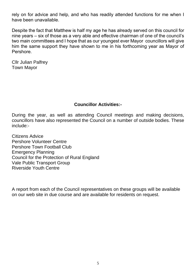rely on for advice and help, and who has readily attended functions for me when I have been unavailable.

Despite the fact that Matthew is half my age he has already served on this council for nine years – six of those as a very able and effective chairman of one of the council's two main committees and I hope that as our youngest ever Mayor councillors will give him the same support they have shown to me in his forthcoming year as Mayor of Pershore.

Cllr Julian Palfrey Town Mayor

#### **Councillor Activities:-**

During the year, as well as attending Council meetings and making decisions, councillors have also represented the Council on a number of outside bodies. These include:-

Citizens Advice Pershore Volunteer Centre Pershore Town Football Club Emergency Planning Council for the Protection of Rural England Vale Public Transport Group Riverside Youth Centre

A report from each of the Council representatives on these groups will be available on our web site in due course and are available for residents on request.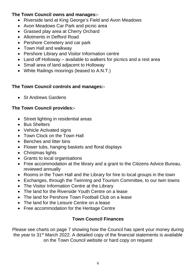#### **The Town Council owns and manages:-**

- Riverside land at King George's Field and Avon Meadows
- Avon Meadows Car Park and picnic area
- Grassed play area at Cherry Orchard
- Allotments in Defford Road
- Pershore Cemetery and car park
- Town Hall and walkway
- Pershore Library and Visitor Information centre
- Land off Holloway available to walkers for picnics and a rest area
- Small area of land adjacent to Holloway
- White Railings moorings (leased to A.N.T.)

### **The Town Council controls and manages:-**

• St Andrews Gardens

# **The Town Council provides:-**

- Street lighting in residential areas
- Bus Shelters
- Vehicle Activated signs
- Town Clock on the Town Hall
- Benches and litter bins
- Flower tubs, hanging baskets and floral displays
- Christmas lights
- Grants to local organisations
- Free accommodation at the library and a grant to the Citizens Advice Bureau, reviewed annually
- Rooms in the Town Hall and the Library for hire to local groups in the town
- Exchanges, through the Twinning and Tourism Committee, to our twin towns
- The Visitor Information Centre at the Library
- The land for the Riverside Youth Centre on a lease
- The land for Pershore Town Football Club on a lease
- The land for the Leisure Centre on a lease
- Free accommodation for the Heritage Centre

### **Town Council Finances**

Please see charts on page 7 showing how the Council has spent your money during the year to 31st March 2022. A detailed copy of the financial statements is available on the Town Council website or hard copy on request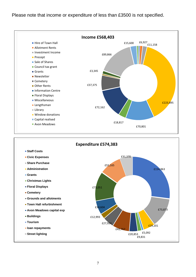#### Please note that income or expenditure of less than £3500 is not specified.



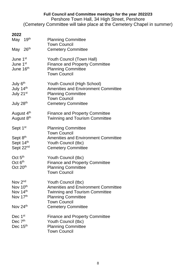#### **Full Council and Committee meetings for the year 2022/23**

Pershore Town Hall, 34 High Street, Pershore (Cemetery Committee will take place at the Cemetery Chapel in summer)

| ZUZZ<br>19 <sup>th</sup><br>May<br>May 26th                             | <b>Planning Committee</b><br><b>Town Council</b><br><b>Cemetery Committee</b>                                                                                                               |
|-------------------------------------------------------------------------|---------------------------------------------------------------------------------------------------------------------------------------------------------------------------------------------|
| June 1 <sup>st</sup><br>June 1 <sup>st</sup><br>June 16th               | Youth Council (Town Hall)<br><b>Finance and Property Committee</b><br><b>Planning Committee</b><br><b>Town Council</b>                                                                      |
| July 6 <sup>th</sup><br>July 14th<br>July 21st<br>July 28 <sup>th</sup> | Youth Council (High School)<br><b>Amenities and Environment Committee</b><br><b>Planning Committee</b><br><b>Town Council</b><br><b>Cemetery Committee</b>                                  |
| August 4th<br>August 8 <sup>th</sup>                                    | <b>Finance and Property Committee</b><br><b>Twinning and Tourism Committee</b>                                                                                                              |
| Sept 1st<br>Sept 8th<br>Sept 14th<br>Sept 22 <sup>nd</sup>              | <b>Planning Committee</b><br><b>Town Council</b><br><b>Amenities and Environment Committee</b><br>Youth Council (tbc)<br><b>Cemetery Committee</b>                                          |
| Oct 5 <sup>th</sup><br>Oct 6 <sup>th</sup><br>Oct 20 <sup>th</sup>      | Youth Council (tbc)<br><b>Finance and Property Committee</b><br><b>Planning Committee</b><br><b>Town Council</b>                                                                            |
| Nov 2nd<br>Nov 10th<br>Nov 14th<br>Nov 17th<br>Nov 24th                 | Youth Council (tbc)<br><b>Amenities and Environment Committee</b><br><b>Twinning and Tourism Committee</b><br><b>Planning Committee</b><br><b>Town Council</b><br><b>Cemetery Committee</b> |
| Dec 1st<br>Dec 7 <sup>th</sup><br>Dec 15th                              | <b>Finance and Property Committee</b><br>Youth Council (tbc)<br><b>Planning Committee</b><br><b>Town Council</b>                                                                            |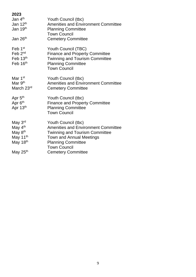| 2023                 |                                                  |
|----------------------|--------------------------------------------------|
| Jan 4 <sup>th</sup>  | Youth Council (tbc)                              |
| Jan 12 <sup>th</sup> | <b>Amenities and Environment Committee</b>       |
| Jan 19 <sup>th</sup> | <b>Planning Committee</b>                        |
|                      | <b>Town Council</b>                              |
| Jan 26 <sup>th</sup> | <b>Cemetery Committee</b>                        |
| Feb 1 <sup>st</sup>  | Youth Council (TBC)                              |
| Feb 2 <sup>nd</sup>  | <b>Finance and Property Committee</b>            |
| Feb 13 <sup>th</sup> | <b>Twinning and Tourism Committee</b>            |
| Feb 16th             | <b>Planning Committee</b>                        |
|                      | <b>Town Council</b>                              |
| Mar 1 <sup>st</sup>  | Youth Council (tbc)                              |
| Mar 9 <sup>th</sup>  | <b>Amenities and Environment Committee</b>       |
| March 23rd           | <b>Cemetery Committee</b>                        |
| Apr 5 <sup>th</sup>  | Youth Council (tbc)                              |
| Apr 6 <sup>th</sup>  | <b>Finance and Property Committee</b>            |
| Apr 13th             | <b>Planning Committee</b>                        |
|                      | <b>Town Council</b>                              |
| May 3rd              | Youth Council (tbc)                              |
| May 4 <sup>th</sup>  | <b>Amenities and Environment Committee</b>       |
|                      |                                                  |
| May 8 <sup>th</sup>  | <b>Twinning and Tourism Committee</b>            |
| May 11 <sup>th</sup> | Town and Annual Meetings                         |
| May 18th             | <b>Planning Committee</b>                        |
| May 25 <sup>th</sup> | <b>Town Council</b><br><b>Cemetery Committee</b> |